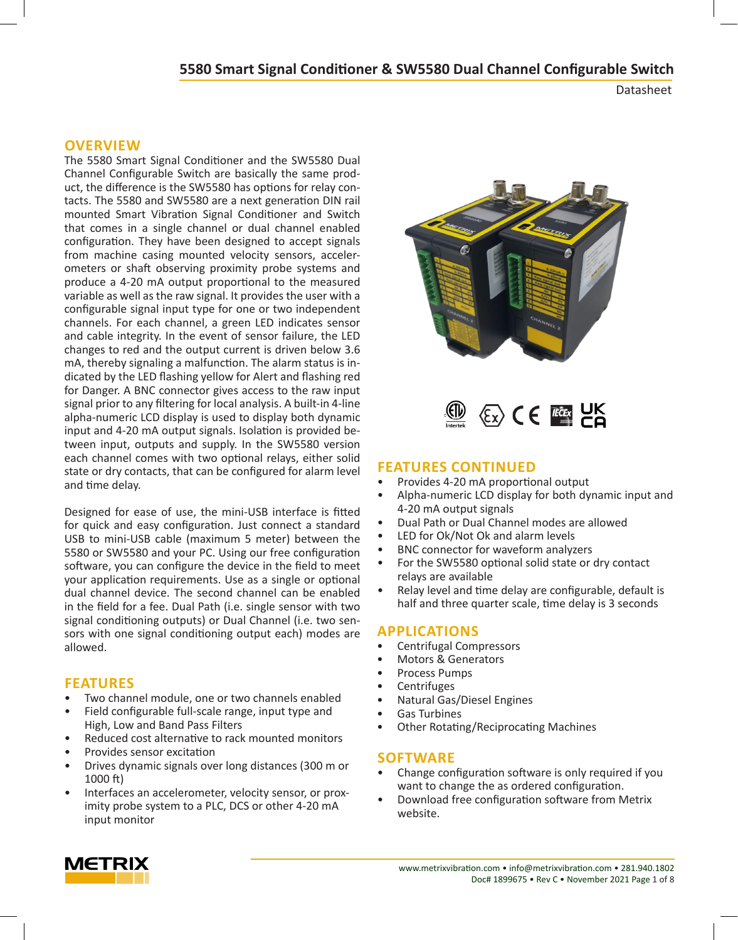Datasheet

#### **OVERVIEW**

The 5580 Smart Signal Conditioner and the SW5580 Dual Channel Configurable Switch are basically the same product, the difference is the SW5580 has options for relay contacts. The 5580 and SW5580 are a next generation DIN rail mounted Smart Vibration Signal Conditioner and Switch that comes in a single channel or dual channel enabled configuration. They have been designed to accept signals from machine casing mounted velocity sensors, accelerometers or shaft observing proximity probe systems and produce a 4-20 mA output proportional to the measured variable as well as the raw signal. It provides the user with a configurable signal input type for one or two independent channels. For each channel, a green LED indicates sensor and cable integrity. In the event of sensor failure, the LED changes to red and the output current is driven below 3.6 mA, thereby signaling a malfunction. The alarm status is indicated by the LED flashing yellow for Alert and flashing red for Danger. A BNC connector gives access to the raw input signal prior to any filtering for local analysis. A built-in 4-line alpha-numeric LCD display is used to display both dynamic input and 4-20 mA output signals. Isolation is provided between input, outputs and supply. In the SW5580 version each channel comes with two optional relays, either solid state or dry contacts, that can be configured for alarm level and time delay.

Designed for ease of use, the mini-USB interface is fitted for quick and easy configuration. Just connect a standard USB to mini-USB cable (maximum 5 meter) between the 5580 or SW5580 and your PC. Using our free configuration software, you can configure the device in the field to meet your application requirements. Use as a single or optional dual channel device. The second channel can be enabled in the field for a fee. Dual Path (i.e. single sensor with two signal conditioning outputs) or Dual Channel (i.e. two sensors with one signal conditioning output each) modes are allowed.

#### **FEATURES**

- Two channel module, one or two channels enabled
- Field configurable full-scale range, input type and High, Low and Band Pass Filters
- Reduced cost alternative to rack mounted monitors
- Provides sensor excitation
- Drives dynamic signals over long distances (300 m or 1000 ft)
- Interfaces an accelerometer, velocity sensor, or proximity probe system to a PLC, DCS or other 4-20 mA input monitor





#### **FEATURES CONTINUED**

- Provides 4-20 mA proportional output
- Alpha-numeric LCD display for both dynamic input and 4-20 mA output signals
- Dual Path or Dual Channel modes are allowed
- LED for Ok/Not Ok and alarm levels
- BNC connector for waveform analyzers
- For the SW5580 optional solid state or dry contact relays are available
- Relay level and time delay are configurable, default is half and three quarter scale, time delay is 3 seconds

#### **APPLICATIONS**

- Centrifugal Compressors
- Motors & Generators
- Process Pumps
- **Centrifuges**
- Natural Gas/Diesel Engines
- Gas Turbines
- Other Rotating/Reciprocating Machines

#### **SOFTWARE**

- Change configuration software is only required if you want to change the as ordered configuration.
- Download free configuration software from Metrix website.

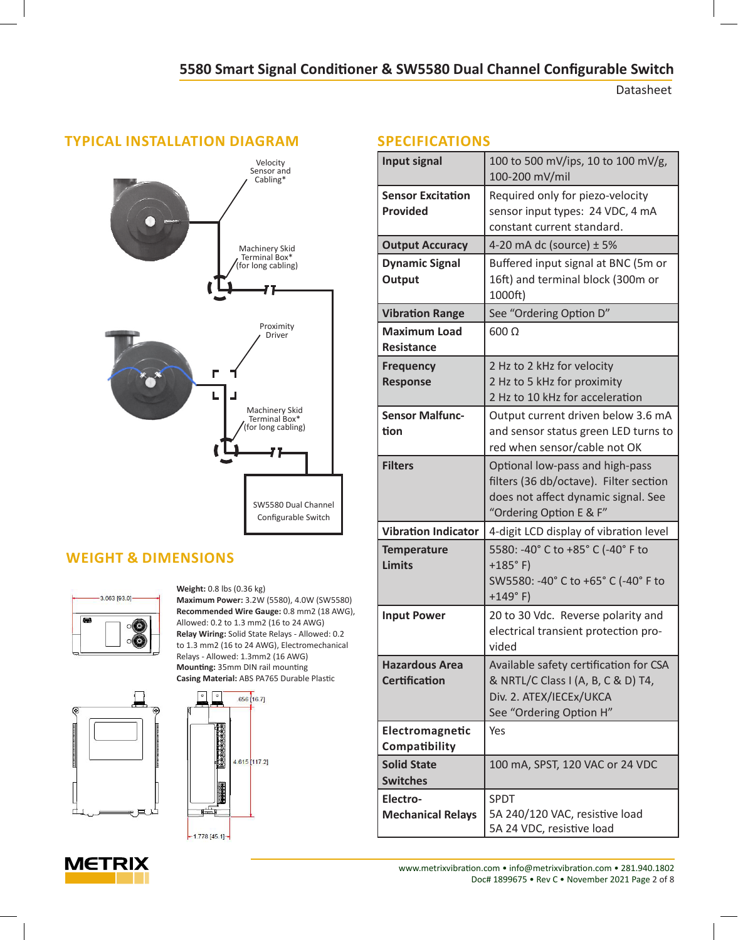Datasheet

# **TYPICAL INSTALLATION DIAGRAM** Velocity Sensor and Cabling\* Machinery Skid Terminal Box\* (for long cabling) Proximity Driver Г L Machinery Skid Terminal Box\* (for long cabling) SW5580 Dual Channel Configurable Switch

# **WEIGHT & DIMENSIONS**





**Mounting:** 35mm DIN rail mounting **Casing Material:** ABS PA765 Durable Plastic $.656$   $[16.7]$ 00000000000 4.615 [117.2] 不可以再次 曄

 $-1.778 [45.1] -$ 

Relays - Allowed: 1.3mm2 (16 AWG)

**Weight:** 0.8 lbs (0.36 kg)

**Maximum Power:** 3.2W (5580), 4.0W (SW5580) **Recommended Wire Gauge:** 0.8 mm2 (18 AWG), Allowed: 0.2 to 1.3 mm2 (16 to 24 AWG) **Relay Wiring:** Solid State Relays - Allowed: 0.2 to 1.3 mm2 (16 to 24 AWG), Electromechanical

# **SPECIFICATIONS**

| <b>Input signal</b>                           | 100 to 500 mV/ips, 10 to 100 mV/g,<br>100-200 mV/mil                                                                                        |  |
|-----------------------------------------------|---------------------------------------------------------------------------------------------------------------------------------------------|--|
| <b>Sensor Excitation</b><br><b>Provided</b>   | Required only for piezo-velocity<br>sensor input types: 24 VDC, 4 mA<br>constant current standard.                                          |  |
| <b>Output Accuracy</b>                        | 4-20 mA dc (source) $\pm$ 5%                                                                                                                |  |
| <b>Dynamic Signal</b><br>Output               | Buffered input signal at BNC (5m or<br>16ft) and terminal block (300m or<br>1000ft)                                                         |  |
| <b>Vibration Range</b>                        | See "Ordering Option D"                                                                                                                     |  |
| <b>Maximum Load</b><br>Resistance             | $600 \Omega$                                                                                                                                |  |
| <b>Frequency</b><br><b>Response</b>           | 2 Hz to 2 kHz for velocity<br>2 Hz to 5 kHz for proximity<br>2 Hz to 10 kHz for acceleration                                                |  |
| <b>Sensor Malfunc-</b><br>tion                | Output current driven below 3.6 mA<br>and sensor status green LED turns to<br>red when sensor/cable not OK                                  |  |
| <b>Filters</b>                                | Optional low-pass and high-pass<br>filters (36 db/octave). Filter section<br>does not affect dynamic signal. See<br>"Ordering Option E & F" |  |
| <b>Vibration Indicator</b>                    | 4-digit LCD display of vibration level                                                                                                      |  |
| <b>Temperature</b><br><b>Limits</b>           | 5580: -40° C to +85° C (-40° F to<br>$+185°$ F)<br>SW5580: -40° C to +65° C (-40° F to<br>$+149°$ F)                                        |  |
| <b>Input Power</b>                            | 20 to 30 Vdc. Reverse polarity and<br>electrical transient protection pro-<br>vided                                                         |  |
| <b>Hazardous Area</b><br><b>Certification</b> | Available safety certification for CSA<br>& NRTL/C Class I (A, B, C & D) T4,<br>Div. 2. ATEX/IECEx/UKCA<br>See "Ordering Option H"          |  |
| Electromagnetic<br>Compatibility              | Yes                                                                                                                                         |  |
| <b>Solid State</b><br><b>Switches</b>         | 100 mA, SPST, 120 VAC or 24 VDC                                                                                                             |  |
| Electro-<br><b>Mechanical Relays</b>          | <b>SPDT</b><br>5A 240/120 VAC, resistive load<br>5A 24 VDC, resistive load                                                                  |  |



www.metrixvibration.com • info@metrixvibration.com • 281.940.1802 Doc# 1899675 • Rev C • November 2021 Page 2 of 8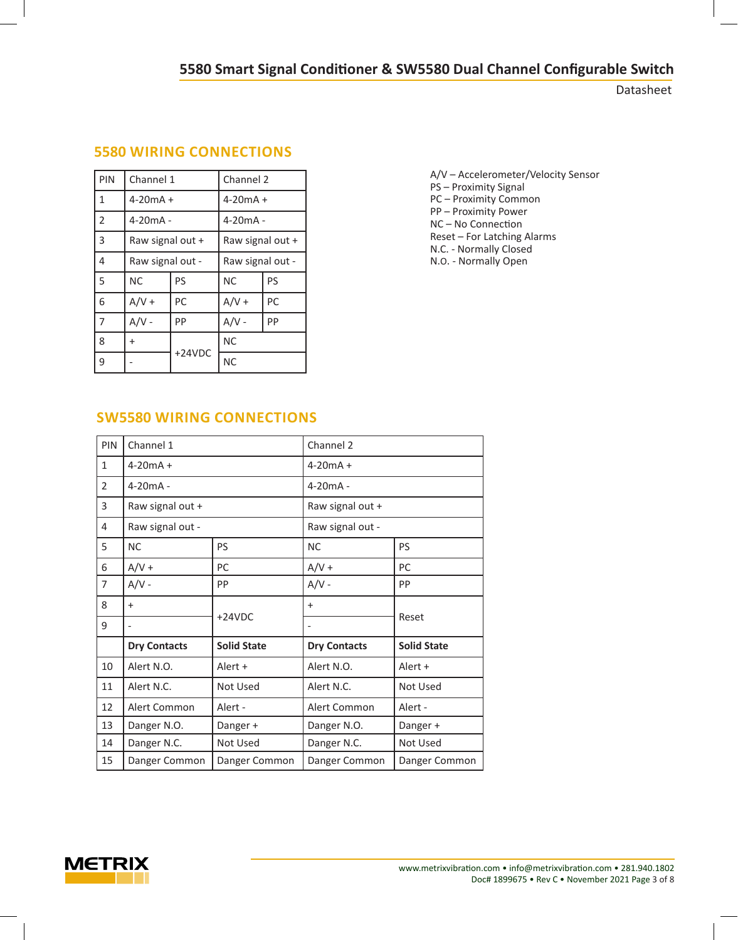Datasheet

| PIN | Channel 1        |          | Channel 2        |    |
|-----|------------------|----------|------------------|----|
| 1   | $4 - 20mA +$     |          | $4 - 20mA +$     |    |
| 2   | $4-20mA -$       |          | $4-20mA -$       |    |
| 3   | Raw signal out + |          | Raw signal out + |    |
| 4   | Raw signal out - |          | Raw signal out - |    |
| 5   | <b>NC</b>        | PS       | <b>NC</b>        | PS |
| 6   | $A/V +$          | PC       | $A/V +$          | PC |
| 7   | $A/V -$          | PP       | $A/V -$          | PP |
| 8   | $\ddot{}$        | $+24VDC$ | <b>NC</b>        |    |
| 9   |                  |          | <b>NC</b>        |    |

# **5580 WIRING CONNECTIONS**

A/V – Accelerometer/Velocity Sensor PS – Proximity Signal PC – Proximity Common PP – Proximity Power NC – No Connection Reset – For Latching Alarms N.C. - Normally Closed N.O. - Normally Open

# **SW5580 WIRING CONNECTIONS**

| PIN          | Channel 1               |                    | Channel 2           |                    |  |
|--------------|-------------------------|--------------------|---------------------|--------------------|--|
| $\mathbf{1}$ | $4 - 20mA +$            |                    | $4 - 20mA +$        |                    |  |
| 2            | $4-20mA -$              |                    | $4-20mA -$          |                    |  |
| 3            | Raw signal out +        |                    | Raw signal out +    |                    |  |
| 4            | Raw signal out -        |                    | Raw signal out -    |                    |  |
| 5            | <b>NC</b>               | PS                 | <b>NC</b>           | PS                 |  |
| 6            | $A/V +$                 | PC                 | $A/V +$             | PC                 |  |
| 7            | $A/V -$                 | PP                 | $A/V -$             | PP                 |  |
| 8            | $\ddot{}$               |                    | $\ddot{}$           |                    |  |
| 9            |                         | $+24VDC$           |                     | Reset              |  |
|              | <b>Dry Contacts</b>     | <b>Solid State</b> | <b>Dry Contacts</b> | <b>Solid State</b> |  |
| 10           | Alert N.O.              | Alert +            | Alert N.O.          | Alert +            |  |
| 11           | Alert N.C.<br>Not Used  |                    | Alert N.C.          | Not Used           |  |
| 12           | Alert Common<br>Alert - |                    | Alert Common        | Alert -            |  |
| 13           | Danger N.O.<br>Danger + |                    | Danger N.O.         | Danger +           |  |
| 14           | Danger N.C.             | Not Used           | Danger N.C.         | Not Used           |  |
| 15           | Danger Common           | Danger Common      | Danger Common       | Danger Common      |  |

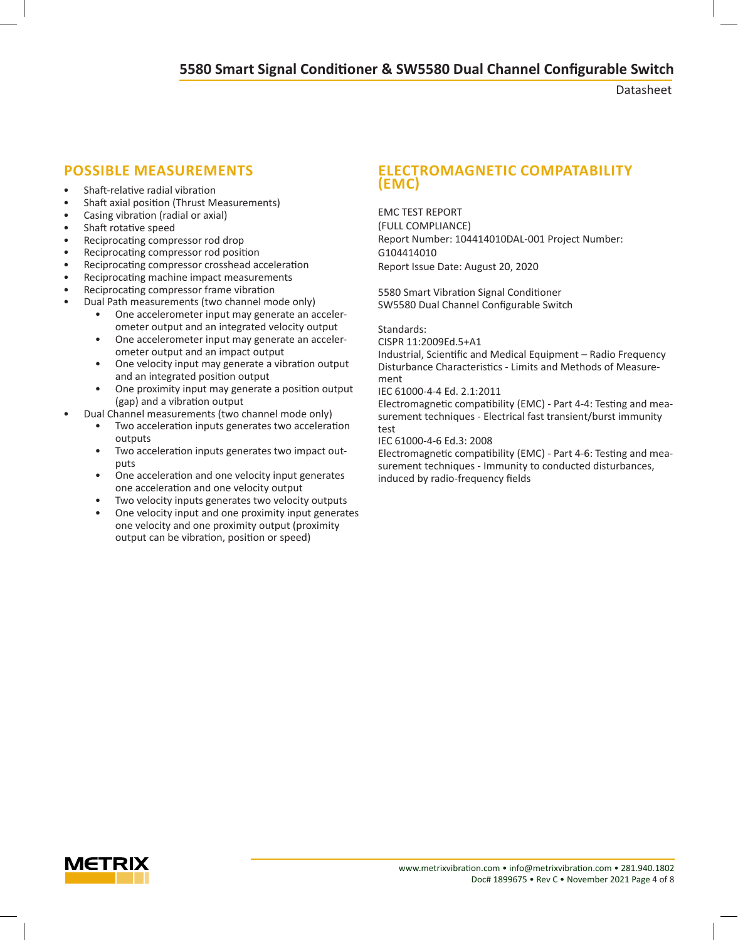Datasheet

- Shaft-relative radial vibration
- Shaft axial position (Thrust Measurements)
- Casing vibration (radial or axial)
- Shaft rotative speed
- Reciprocating compressor rod drop
- Reciprocating compressor rod position
- Reciprocating compressor crosshead acceleration
- Reciprocating machine impact measurements
- Reciprocating compressor frame vibration
- Dual Path measurements (two channel mode only)
	- One accelerometer input may generate an accelerometer output and an integrated velocity output
	- One accelerometer input may generate an accelerometer output and an impact output
	- One velocity input may generate a vibration output and an integrated position output
	- One proximity input may generate a position output (gap) and a vibration output
- Dual Channel measurements (two channel mode only)
	- Two acceleration inputs generates two acceleration outputs
	- Two acceleration inputs generates two impact outputs
	- One acceleration and one velocity input generates one acceleration and one velocity output
	- Two velocity inputs generates two velocity outputs
	- One velocity input and one proximity input generates one velocity and one proximity output (proximity output can be vibration, position or speed)

## **POSSIBLE MEASUREMENTS ELECTROMAGNETIC COMPATABILITY (EMC)**

EMC TEST REPORT (FULL COMPLIANCE) Report Number: 104414010DAL-001 Project Number: G104414010 Report Issue Date: August 20, 2020

5580 Smart Vibration Signal Conditioner SW5580 Dual Channel Configurable Switch

Standards:

CISPR 11:2009Ed.5+A1

Industrial, Scientific and Medical Equipment – Radio Frequency Disturbance Characteristics - Limits and Methods of Measurement

IEC 61000-4-4 Ed. 2.1:2011

Electromagnetic compatibility (EMC) - Part 4-4: Testing and measurement techniques - Electrical fast transient/burst immunity test

IEC 61000-4-6 Ed.3: 2008

Electromagnetic compatibility (EMC) - Part 4-6: Testing and measurement techniques - Immunity to conducted disturbances, induced by radio-frequency fields

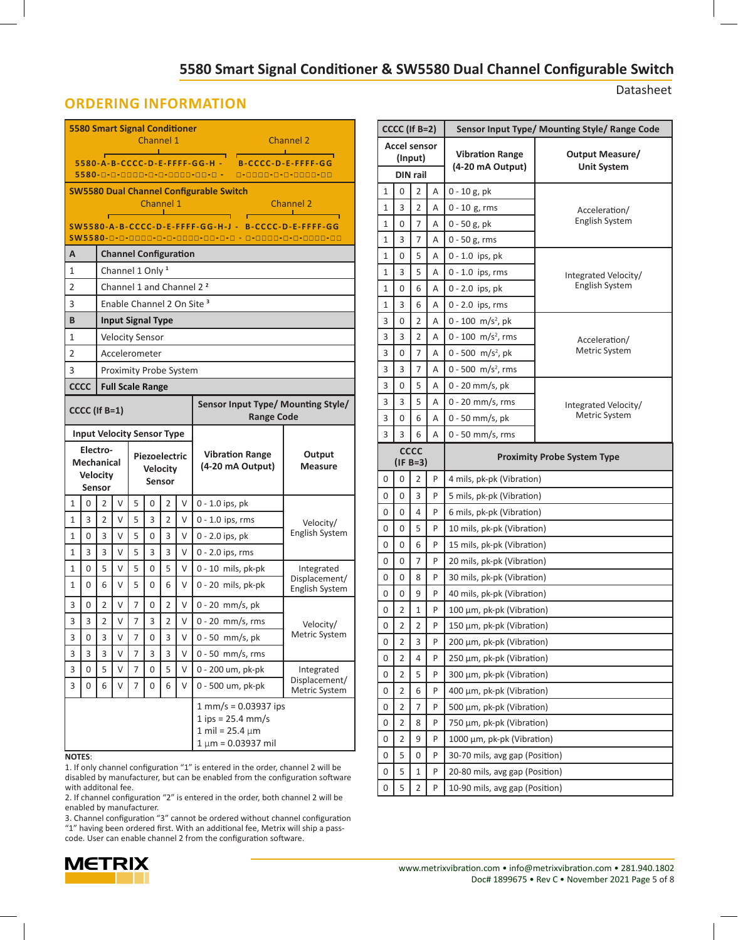Datasheet

## **ORDERING INFORMATION**

| <b>5580 Smart Signal Conditioner</b><br>Channel 1<br><u> Tanzania de la provincia de la provincia de la provincia de la provincia de la provincia de la provincia de la provincia de la provincia de la provincia de la provincia de la provincia de la provincia de la provincia de </u><br>5580-A-B-CCCC-D-E-FFFF-GG-H - B-CCCC-D-E-FFFF-GG |                                                                                                                          |                |   |                |                                  |                |    |                                                                                                | <b>Channel 2</b>                |
|-----------------------------------------------------------------------------------------------------------------------------------------------------------------------------------------------------------------------------------------------------------------------------------------------------------------------------------------------|--------------------------------------------------------------------------------------------------------------------------|----------------|---|----------------|----------------------------------|----------------|----|------------------------------------------------------------------------------------------------|---------------------------------|
|                                                                                                                                                                                                                                                                                                                                               | 5580-0-0-0000-0-0-0000-00-0 - 0-0000-0-0-0000-00                                                                         |                |   |                |                                  |                |    |                                                                                                |                                 |
|                                                                                                                                                                                                                                                                                                                                               | <b>SW5580 Dual Channel Configurable Switch</b><br>Channel 1<br><b>Channel 2</b><br><u>Channe</u><br>———————————————————— |                |   |                |                                  |                |    |                                                                                                |                                 |
|                                                                                                                                                                                                                                                                                                                                               | SW5580-A-B-CCCC-D-E-FFFF-GG-H-J-B-CCCC-D-E-FFFF-GG                                                                       |                |   |                |                                  |                |    |                                                                                                |                                 |
|                                                                                                                                                                                                                                                                                                                                               | SW5580-0-0-0000-0-0-0000-00-0-0 - 0-0000-0-0-0000-00                                                                     |                |   |                |                                  |                |    |                                                                                                |                                 |
| А                                                                                                                                                                                                                                                                                                                                             |                                                                                                                          |                |   |                | <b>Channel Configuration</b>     |                |    |                                                                                                |                                 |
| 1                                                                                                                                                                                                                                                                                                                                             |                                                                                                                          |                |   |                | Channel 1 Only <sup>1</sup>      |                |    |                                                                                                |                                 |
| 2                                                                                                                                                                                                                                                                                                                                             |                                                                                                                          |                |   |                |                                  |                |    | Channel 1 and Channel 2 <sup>2</sup>                                                           |                                 |
| 3                                                                                                                                                                                                                                                                                                                                             |                                                                                                                          |                |   |                |                                  |                |    | Enable Channel 2 On Site <sup>3</sup>                                                          |                                 |
| B                                                                                                                                                                                                                                                                                                                                             |                                                                                                                          |                |   |                | <b>Input Signal Type</b>         |                |    |                                                                                                |                                 |
| 1                                                                                                                                                                                                                                                                                                                                             |                                                                                                                          |                |   |                | <b>Velocity Sensor</b>           |                |    |                                                                                                |                                 |
| 2                                                                                                                                                                                                                                                                                                                                             |                                                                                                                          |                |   |                | Accelerometer                    |                |    |                                                                                                |                                 |
| 3                                                                                                                                                                                                                                                                                                                                             |                                                                                                                          |                |   |                | Proximity Probe System           |                |    |                                                                                                |                                 |
|                                                                                                                                                                                                                                                                                                                                               | <b>CCCC</b>                                                                                                              |                |   |                | <b>Full Scale Range</b>          |                |    |                                                                                                |                                 |
| Sensor Input Type/ Mounting Style/<br>CCCC (If B=1)<br><b>Range Code</b>                                                                                                                                                                                                                                                                      |                                                                                                                          |                |   |                |                                  |                |    |                                                                                                |                                 |
|                                                                                                                                                                                                                                                                                                                                               | <b>Input Velocity Sensor Type</b>                                                                                        |                |   |                |                                  |                |    |                                                                                                |                                 |
|                                                                                                                                                                                                                                                                                                                                               | Electro-<br><b>Mechanical</b><br><b>Velocity</b>                                                                         | Sensor         |   |                | Piezoelectric<br><b>Velocity</b> | <b>Sensor</b>  |    | <b>Vibration Range</b><br>(4-20 mA Output)                                                     | Output<br>Measure               |
| 1                                                                                                                                                                                                                                                                                                                                             | 0                                                                                                                        | $\overline{2}$ | V | 5              | 0                                | 2              | V  | $0 - 1.0$ ips, pk                                                                              |                                 |
| $\mathbf{1}$                                                                                                                                                                                                                                                                                                                                  | 3                                                                                                                        | $\overline{2}$ | V | 5              | 3                                | $\overline{2}$ | V  | 0 - 1.0 ips, rms                                                                               | Velocity/                       |
| 1                                                                                                                                                                                                                                                                                                                                             | 0                                                                                                                        | 3              | V | 5              | 0                                | 3              | V  | 0 - 2.0 ips, pk                                                                                | English System                  |
| 1                                                                                                                                                                                                                                                                                                                                             | 3                                                                                                                        | 3              | V | 5              | 3                                | 3              | V  | 0 - 2.0 ips, rms                                                                               |                                 |
| $\mathbf{1}$                                                                                                                                                                                                                                                                                                                                  | 0                                                                                                                        | 5              | V | 5              | 0                                | 5              | V  | 0 - 10 mils, pk-pk                                                                             | Integrated                      |
| 1                                                                                                                                                                                                                                                                                                                                             | 0                                                                                                                        | 6              | V | 5              | 0                                | 6              | V  | 0 - 20 mils, pk-pk                                                                             | Displacement/<br>English System |
| 3                                                                                                                                                                                                                                                                                                                                             | 0                                                                                                                        | 2              | V | 7              | 0                                | 2              | νI | $0 - 20$ mm/s, pk                                                                              |                                 |
| 3                                                                                                                                                                                                                                                                                                                                             | 3                                                                                                                        | $\overline{2}$ | V | 7              | 3                                | $\overline{2}$ | V  | $0 - 20$ mm/s, rms                                                                             | Velocity/                       |
| 3                                                                                                                                                                                                                                                                                                                                             | 0                                                                                                                        | 3              | V | 7              | 0                                | 3              | V  | 0 - 50 mm/s, pk                                                                                | Metric System                   |
| 3                                                                                                                                                                                                                                                                                                                                             | 3                                                                                                                        | 3              | V | $\overline{7}$ | 3                                | 3              | V  | $0 - 50$ mm/s, rms                                                                             |                                 |
| 3                                                                                                                                                                                                                                                                                                                                             | 0                                                                                                                        | 5              | V | 7              | 0                                | 5              | V  | 0 - 200 um, pk-pk                                                                              | Integrated<br>Displacement/     |
| 3                                                                                                                                                                                                                                                                                                                                             | 0                                                                                                                        | 6              | V | 7              | 0                                | 6              | V  | 0 - 500 um, pk-pk                                                                              | Metric System                   |
|                                                                                                                                                                                                                                                                                                                                               |                                                                                                                          |                |   |                |                                  |                |    | 1 mm/s = 0.03937 ips<br>$1$ ips = 25.4 mm/s<br>1 mil = $25.4 \mu m$<br>$1 \mu m = 0.03937$ mil |                                 |

#### **NOTES**:

1. If only channel configuration "1" is entered in the order, channel 2 will be disabled by manufacturer, but can be enabled from the configuration software with additonal fee.

2. If channel configuration "2" is entered in the order, both channel 2 will be enabled by manufacturer.

3. Channel configuration "3" cannot be ordered without channel configuration "1" having been ordered first. With an additional fee, Metrix will ship a passcode. User can enable channel 2 from the configuration software.



| CCCC (If B=2)                              |                                                                 |                |   | Sensor Input Type/ Mounting Style/ Range Code |                                        |  |  |
|--------------------------------------------|-----------------------------------------------------------------|----------------|---|-----------------------------------------------|----------------------------------------|--|--|
| <b>Accel sensor</b><br>(Input)<br>DIN rail |                                                                 |                |   | <b>Vibration Range</b><br>(4-20 mA Output)    | Output Measure/<br><b>Unit System</b>  |  |  |
| 1                                          | 0                                                               | 2              | Α | $0 - 10$ g, pk                                |                                        |  |  |
| 1                                          | 3                                                               | 2              | A | $0 - 10$ g, rms                               |                                        |  |  |
| 1                                          | 0                                                               | 7              | A | 0 - 50 g, pk                                  | Acceleration/<br><b>English System</b> |  |  |
| 1                                          | 3                                                               | 7              | Α | $0 - 50$ g, rms                               |                                        |  |  |
| 1                                          | 0                                                               | 5              | A | $0 - 1.0$ ips, pk                             |                                        |  |  |
| 1                                          | 3                                                               | 5              | Α | $0 - 1.0$ ips, rms                            | Integrated Velocity/                   |  |  |
| 1                                          | 0                                                               | 6              | A | $0 - 2.0$ ips, pk                             | English System                         |  |  |
| 1                                          | 3                                                               | 6              | Α | $0 - 2.0$ ips, rms                            |                                        |  |  |
| 3                                          | 0                                                               | 2              | Α | 0 - 100 m/s <sup>2</sup> , pk                 |                                        |  |  |
| 3                                          | 3                                                               | 2              | A | $0 - 100$ m/s <sup>2</sup> , rms              | Acceleration/                          |  |  |
| 3                                          | 0                                                               | 7              | Α | 0 - 500 m/s <sup>2</sup> , pk                 | Metric System                          |  |  |
| 3                                          | 3                                                               | 7              | A | 0 - 500 m/s <sup>2</sup> , rms                |                                        |  |  |
| 3                                          | 0                                                               | 5              | Α | 0 - 20 mm/s, pk                               |                                        |  |  |
| 3                                          | 3                                                               | 5              | Α | $0 - 20$ mm/s, rms                            | Integrated Velocity/                   |  |  |
| 3                                          | 0                                                               | 6              | A | 0 - 50 mm/s, pk                               | Metric System                          |  |  |
| 3                                          | 3                                                               | 6              | A | $0 - 50$ mm/s, rms                            |                                        |  |  |
|                                            | <b>CCCC</b><br><b>Proximity Probe System Type</b><br>$(IF B=3)$ |                |   |                                               |                                        |  |  |
| 0                                          | 0                                                               | 2              | P | 4 mils, pk-pk (Vibration)                     |                                        |  |  |
| 0                                          | 0                                                               | 3              | P | 5 mils, pk-pk (Vibration)                     |                                        |  |  |
| 0                                          | 0                                                               | 4              | P | 6 mils, pk-pk (Vibration)                     |                                        |  |  |
| 0                                          | 0                                                               | 5              | P | 10 mils, pk-pk (Vibration)                    |                                        |  |  |
| 0                                          | 0                                                               | 6              | P | 15 mils, pk-pk (Vibration)                    |                                        |  |  |
| 0                                          | 0                                                               | 7              | P | 20 mils, pk-pk (Vibration)                    |                                        |  |  |
| 0                                          | 0                                                               | 8              | P | 30 mils, pk-pk (Vibration)                    |                                        |  |  |
| 0                                          | 0                                                               | 9              | P | 40 mils, pk-pk (Vibration)                    |                                        |  |  |
| 0                                          | 2                                                               | 1              | P | 100 μm, pk-pk (Vibration)                     |                                        |  |  |
| 0                                          | $\overline{c}$                                                  | $\overline{c}$ | P | 150 μm, pk-pk (Vibration)                     |                                        |  |  |
| 0                                          | 2                                                               | 3              | P | 200 μm, pk-pk (Vibration)                     |                                        |  |  |
| 0                                          | $\overline{2}$                                                  | 4              | P | 250 µm, pk-pk (Vibration)                     |                                        |  |  |
| 0                                          | 2                                                               | 5              | P | 300 µm, pk-pk (Vibration)                     |                                        |  |  |
| 0                                          | 2                                                               | 6              | P | 400 µm, pk-pk (Vibration)                     |                                        |  |  |
| 0                                          | 2                                                               | 7              | P | 500 µm, pk-pk (Vibration)                     |                                        |  |  |
| 0                                          | 2                                                               | 8              | P | 750 µm, pk-pk (Vibration)                     |                                        |  |  |
| 0                                          | $\overline{2}$                                                  | 9              | P | 1000 μm, pk-pk (Vibration)                    |                                        |  |  |
| 0                                          | 5                                                               | 0              | P | 30-70 mils, avg gap (Position)                |                                        |  |  |
| 0                                          | 5                                                               | 1              | P | 20-80 mils, avg gap (Position)                |                                        |  |  |
| 0                                          | 5                                                               | $\overline{2}$ | P | 10-90 mils, avg gap (Position)                |                                        |  |  |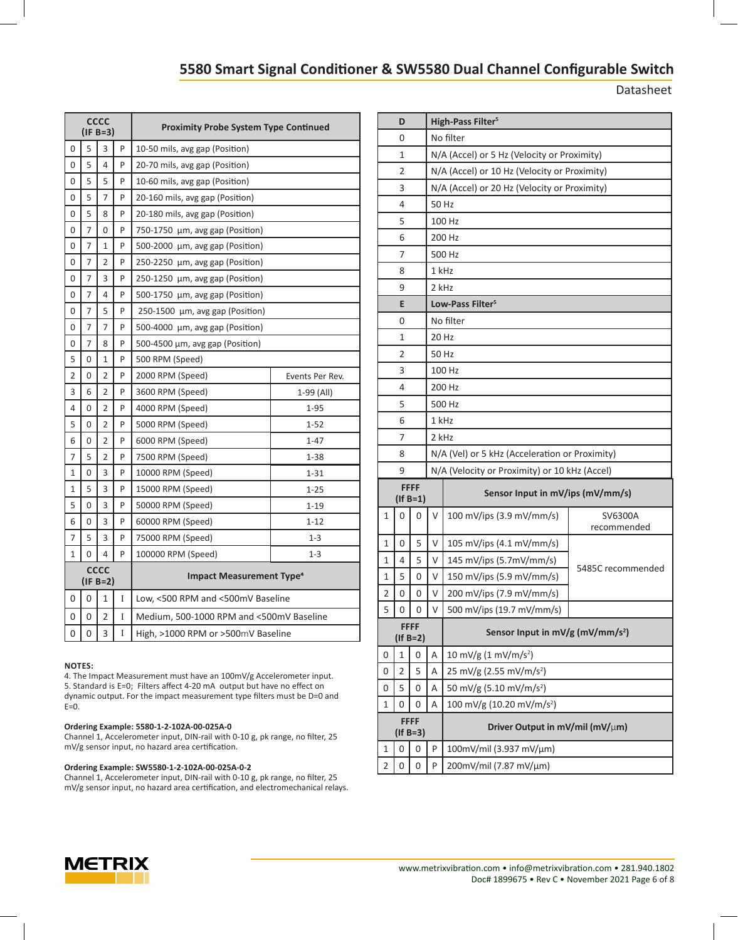Datasheet

| <b>CCCC</b><br>$(IF B=3)$ |                           |                |   | <b>Proximity Probe System Type Continued</b> |                 |  |  |
|---------------------------|---------------------------|----------------|---|----------------------------------------------|-----------------|--|--|
| 0                         | 5                         | 3              | P | 10-50 mils, avg gap (Position)               |                 |  |  |
| 0                         | 5                         | 4              | P | 20-70 mils, avg gap (Position)               |                 |  |  |
| 0                         | 5                         | 5              | P | 10-60 mils, avg gap (Position)               |                 |  |  |
| 0                         | 5                         | 7              | P | 20-160 mils, avg gap (Position)              |                 |  |  |
| 0                         | 5                         | 8              | P | 20-180 mils, avg gap (Position)              |                 |  |  |
| 0                         | 7                         | 0              | P | 750-1750 µm, avg gap (Position)              |                 |  |  |
| 0                         | 7                         | 1              | P | 500-2000 μm, avg gap (Position)              |                 |  |  |
| 0                         | 7                         | 2              | P | 250-2250 µm, avg gap (Position)              |                 |  |  |
| 0                         | 7                         | 3              | P | 250-1250 µm, avg gap (Position)              |                 |  |  |
| 0                         | 7                         | 4              | P | 500-1750 μm, avg gap (Position)              |                 |  |  |
| 0                         | 7                         | 5              | P | 250-1500 µm, avg gap (Position)              |                 |  |  |
| 0                         | 7                         | $\overline{7}$ | P | 500-4000 µm, avg gap (Position)              |                 |  |  |
| 0                         | 7                         | 8              | P | 500-4500 µm, avg gap (Position)              |                 |  |  |
| 5                         | 0                         | 1              | P | 500 RPM (Speed)                              |                 |  |  |
| $\overline{2}$            | 0                         | $\overline{2}$ | P | 2000 RPM (Speed)                             | Events Per Rev. |  |  |
| 3                         | 6                         | 2              | P | 3600 RPM (Speed)                             | 1-99 (All)      |  |  |
| 4                         | 0                         | $\overline{2}$ | P | 4000 RPM (Speed)                             | 1-95            |  |  |
| 5                         | 0                         | $\overline{2}$ | P | 5000 RPM (Speed)                             | $1 - 52$        |  |  |
| 6                         | 0                         | 2              | P | 6000 RPM (Speed)                             | $1 - 47$        |  |  |
| 7                         | 5                         | 2              | P | 7500 RPM (Speed)                             | $1 - 38$        |  |  |
| 1                         | 0                         | 3              | P | 10000 RPM (Speed)                            | $1 - 31$        |  |  |
| 1                         | 5                         | 3              | P | 15000 RPM (Speed)                            | $1 - 25$        |  |  |
| 5                         | 0                         | 3              | P | 50000 RPM (Speed)                            | $1 - 19$        |  |  |
| 6                         | 0                         | 3              | P | 60000 RPM (Speed)                            | $1 - 12$        |  |  |
| 7                         | 5                         | 3              | P | 75000 RPM (Speed)                            | $1 - 3$         |  |  |
| 1                         | 0                         | 4              | P | 100000 RPM (Speed)                           | $1 - 3$         |  |  |
|                           | <b>CCCC</b><br>$(IF B=2)$ |                |   | <b>Impact Measurement Type<sup>4</sup></b>   |                 |  |  |
| 0                         | 0                         | 1              | I | Low, <500 RPM and <500mV Baseline            |                 |  |  |
| 0                         | 0                         | 2              | I | Medium, 500-1000 RPM and <500mV Baseline     |                 |  |  |
| 0                         | 0                         | 3              | I | High, >1000 RPM or >500mV Baseline           |                 |  |  |

#### **NOTES:**

4. The Impact Measurement must have an 100mV/g Accelerometer input. 5. Standard is E=0; Filters affect 4-20 mA output but have no effect on dynamic output. For the impact measurement type filters must be D=0 and  $E=0$ .

#### **Ordering Example: 5580-1-2-102A-00-025A-0**

Channel 1, Accelerometer input, DIN-rail with 0-10 g, pk range, no filter, 25 mV/g sensor input, no hazard area certification.

#### **Ordering Example: SW5580-1-2-102A-00-025A-0-2**

Channel 1, Accelerometer input, DIN-rail with 0-10 g, pk range, no filter, 25 mV/g sensor input, no hazard area certification, and electromechanical relays.

|   | D                             |                               | High-Pass Filter <sup>5</sup>               |                                                |                        |  |  |  |  |
|---|-------------------------------|-------------------------------|---------------------------------------------|------------------------------------------------|------------------------|--|--|--|--|
|   | 0                             |                               | No filter                                   |                                                |                        |  |  |  |  |
|   | 1                             |                               | N/A (Accel) or 5 Hz (Velocity or Proximity) |                                                |                        |  |  |  |  |
|   | 2                             |                               |                                             | N/A (Accel) or 10 Hz (Velocity or Proximity)   |                        |  |  |  |  |
|   | 3                             |                               |                                             | N/A (Accel) or 20 Hz (Velocity or Proximity)   |                        |  |  |  |  |
|   | 4                             |                               | 50 Hz                                       |                                                |                        |  |  |  |  |
|   | 5                             |                               |                                             | 100 Hz                                         |                        |  |  |  |  |
|   | 6                             |                               |                                             | 200 Hz                                         |                        |  |  |  |  |
|   | 7                             |                               |                                             | 500 Hz                                         |                        |  |  |  |  |
|   | 8                             |                               | 1 kHz                                       |                                                |                        |  |  |  |  |
|   | 9                             |                               | 2 kHz                                       |                                                |                        |  |  |  |  |
|   | E                             |                               |                                             | Low-Pass Filter <sup>5</sup>                   |                        |  |  |  |  |
|   | 0                             |                               |                                             | No filter                                      |                        |  |  |  |  |
|   | 1                             |                               | 20 Hz                                       |                                                |                        |  |  |  |  |
|   | 2                             |                               | 50 Hz                                       |                                                |                        |  |  |  |  |
|   | 3                             |                               |                                             | 100 Hz                                         |                        |  |  |  |  |
|   | 4                             |                               |                                             | 200 Hz                                         |                        |  |  |  |  |
|   | 5                             |                               | 500 Hz                                      |                                                |                        |  |  |  |  |
|   | 6                             |                               |                                             | 1 kHz                                          |                        |  |  |  |  |
|   | 7                             |                               |                                             | 2 kHz                                          |                        |  |  |  |  |
|   | 8                             |                               |                                             | N/A (Vel) or 5 kHz (Acceleration or Proximity) |                        |  |  |  |  |
|   | 9                             |                               |                                             | N/A (Velocity or Proximity) or 10 kHz (Accel)  |                        |  |  |  |  |
|   |                               | <b>FFFF</b><br>$($ If B=1 $)$ |                                             | Sensor Input in mV/ips (mV/mm/s)               |                        |  |  |  |  |
| 1 | 0                             | 0                             | V                                           | 100 mV/ips (3.9 mV/mm/s)                       | SV6300A<br>recommended |  |  |  |  |
| 1 | 0                             | 5                             | V                                           | 105 mV/ips (4.1 mV/mm/s)                       |                        |  |  |  |  |
| 1 | 4                             | 5                             | V                                           | 145 mV/ips (5.7mV/mm/s)                        |                        |  |  |  |  |
| 1 | 5                             | 0                             | V                                           | 150 mV/ips (5.9 mV/mm/s)                       | 5485C recommended      |  |  |  |  |
| 2 | 0                             | 0                             | V                                           | 200 mV/ips (7.9 mV/mm/s)                       |                        |  |  |  |  |
| 5 | 0                             | 0                             | V                                           | 500 mV/ips (19.7 mV/mm/s)                      |                        |  |  |  |  |
|   | <b>FFFF</b><br>$($ If B=2 $)$ |                               |                                             | Sensor Input in mV/g (mV/mm/s <sup>2</sup> )   |                        |  |  |  |  |
| 0 | 1                             | 0                             | Α                                           | 10 mV/g (1 mV/m/s <sup>2</sup> )               |                        |  |  |  |  |
| 0 | 2                             | 5                             | A                                           | 25 mV/g (2.55 mV/m/s <sup>2</sup> )            |                        |  |  |  |  |
| 0 | 5                             | 0                             | Α                                           | 50 mV/g (5.10 mV/m/s <sup>2</sup> )            |                        |  |  |  |  |
| 1 | 0                             | 0                             | A                                           | 100 mV/g (10.20 mV/m/s <sup>2</sup> )          |                        |  |  |  |  |
|   |                               | <b>FFFF</b><br>$($ If B=3)    |                                             | Driver Output in mV/mil (mV/um)                |                        |  |  |  |  |
| 1 | 0                             | 0                             | P                                           | 100mV/mil (3.937 mV/µm)                        |                        |  |  |  |  |
| 2 | 0                             | 0                             | P                                           | 200mV/mil (7.87 mV/µm)                         |                        |  |  |  |  |

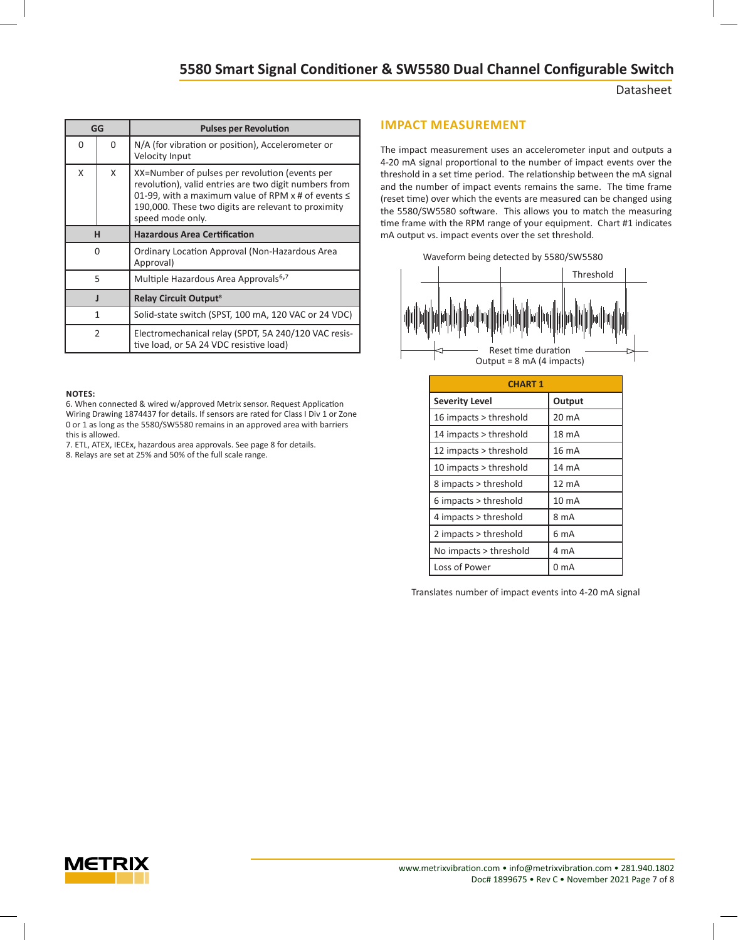#### Datasheet

| GG             |          | <b>Pulses per Revolution</b>                                                                                                                                                                                                             |  |  |
|----------------|----------|------------------------------------------------------------------------------------------------------------------------------------------------------------------------------------------------------------------------------------------|--|--|
| 0              | $\Omega$ | N/A (for vibration or position), Accelerometer or<br>Velocity Input                                                                                                                                                                      |  |  |
| X              | X        | XX=Number of pulses per revolution (events per<br>revolution), valid entries are two digit numbers from<br>01-99, with a maximum value of RPM x # of events ≤<br>190,000. These two digits are relevant to proximity<br>speed mode only. |  |  |
|                | н        | <b>Hazardous Area Certification</b>                                                                                                                                                                                                      |  |  |
| 0              |          | Ordinary Location Approval (Non-Hazardous Area<br>Approval)                                                                                                                                                                              |  |  |
| 5              |          | Multiple Hazardous Area Approvals <sup>6,7</sup>                                                                                                                                                                                         |  |  |
| J              |          | <b>Relay Circuit Output<sup>8</sup></b>                                                                                                                                                                                                  |  |  |
| 1              |          | Solid-state switch (SPST, 100 mA, 120 VAC or 24 VDC)                                                                                                                                                                                     |  |  |
| $\mathfrak{p}$ |          | Electromechanical relay (SPDT, 5A 240/120 VAC resis-<br>tive load, or 5A 24 VDC resistive load)                                                                                                                                          |  |  |

#### **NOTES:**

6. When connected & wired w/approved Metrix sensor. Request Application Wiring Drawing 1874437 for details. If sensors are rated for Class I Div 1 or Zone 0 or 1 as long as the 5580/SW5580 remains in an approved area with barriers this is allowed.

- 7. ETL, ATEX, IECEx, hazardous area approvals. See page 8 for details.
- 8. Relays are set at 25% and 50% of the full scale range.

#### **IMPACT MEASUREMENT**

The impact measurement uses an accelerometer input and outputs a 4-20 mA signal proportional to the number of impact events over the threshold in a set time period. The relationship between the mA signal and the number of impact events remains the same. The time frame (reset time) over which the events are measured can be changed using the 5580/SW5580 software. This allows you to match the measuring time frame with the RPM range of your equipment. Chart #1 indicates mA output vs. impact events over the set threshold.





| <b>CHART 1</b>         |                  |
|------------------------|------------------|
| <b>Severity Level</b>  | Output           |
| 16 impacts > threshold | 20 mA            |
| 14 impacts > threshold | 18 mA            |
| 12 impacts > threshold | 16 mA            |
| 10 impacts > threshold | 14 mA            |
| 8 impacts > threshold  | 12 mA            |
| 6 impacts > threshold  | 10 <sub>mA</sub> |
| 4 impacts > threshold  | 8 mA             |
| 2 impacts > threshold  | 6 mA             |
| No impacts > threshold | 4 mA             |
| Loss of Power          | 0 mA             |

Translates number of impact events into 4-20 mA signal